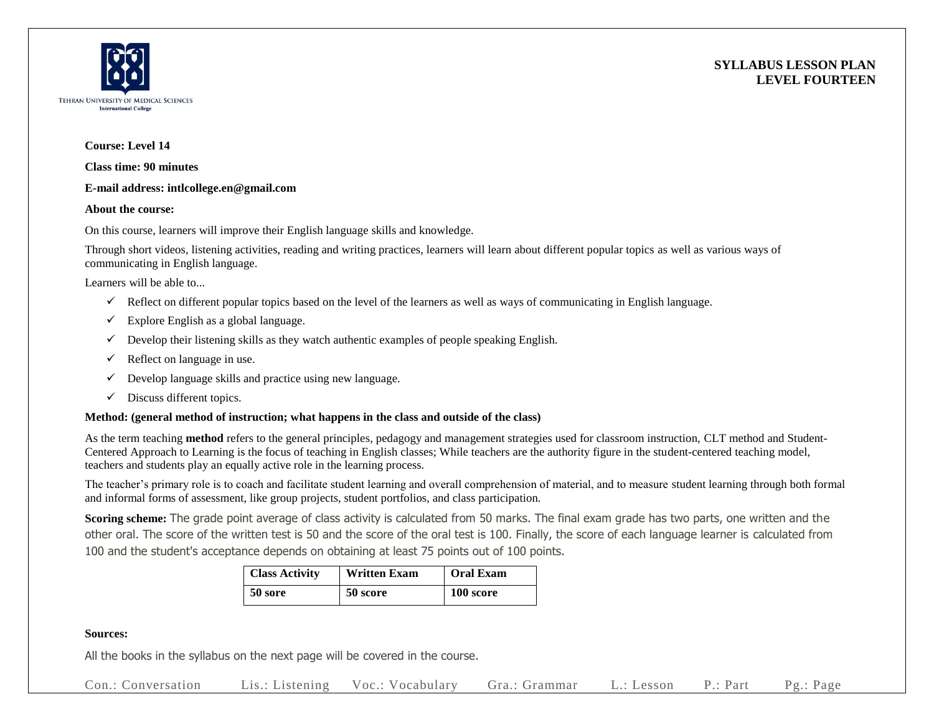



## **Course: Level 14**

**Class time: 90 minutes**

### **E-mail address: intlcollege.en@gmail.com**

#### **About the course:**

On this course, learners will improve their English language skills and knowledge.

Through short videos, listening activities, reading and writing practices, learners will learn about different popular topics as well as various ways of communicating in English language.

Learners will be able to...

- $\checkmark$  Reflect on different popular topics based on the level of the learners as well as ways of communicating in English language.
- $\checkmark$  Explore English as a global language.
- $\checkmark$  Develop their listening skills as they watch authentic examples of people speaking English.
- $\checkmark$  Reflect on language in use.
- $\checkmark$  Develop language skills and practice using new language.
- $\checkmark$  Discuss different topics.

### **Method: (general method of instruction; what happens in the class and outside of the class)**

As the term teaching **method** refers to the general principles, pedagogy and management strategies used for classroom instruction, CLT method and Student-Centered Approach to Learning is the focus of teaching in English classes; While teachers are the authority figure in the student-centered teaching model, teachers and students play an equally active role in the learning process.

The teacher's primary role is to coach and facilitate student learning and overall comprehension of material, and to measure student learning through both formal and informal forms of assessment, like group projects, student portfolios, and class participation.

**Scoring scheme:** The grade point average of class activity is calculated from 50 marks. The final exam grade has two parts, one written and the other oral. The score of the written test is 50 and the score of the oral test is 100. Finally, the score of each language learner is calculated from 100 and the student's acceptance depends on obtaining at least 75 points out of 100 points.

| <b>Class Activity</b> | <b>Written Exam</b> | <b>Oral Exam</b> |  |  |
|-----------------------|---------------------|------------------|--|--|
| 50 sore               | 50 score            | 100 score        |  |  |

### **Sources:**

All the books in the syllabus on the next page will be covered in the course.

Con.: Conversation Lis.: Listening Voc.: Vocabulary Gra.: Grammar L.: Lesson P.: Part Pg.: Page